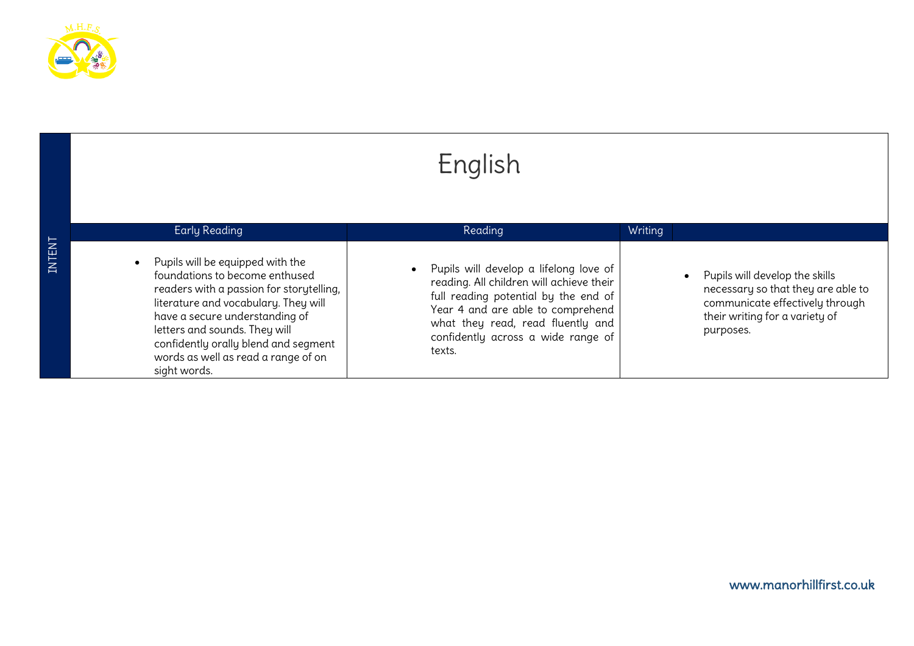

INTENT

| English                                                                                                                                                                                                                                                                                                                               |                                                                                                                                                                                                                                                        |         |                                                                                                                                                        |  |  |  |
|---------------------------------------------------------------------------------------------------------------------------------------------------------------------------------------------------------------------------------------------------------------------------------------------------------------------------------------|--------------------------------------------------------------------------------------------------------------------------------------------------------------------------------------------------------------------------------------------------------|---------|--------------------------------------------------------------------------------------------------------------------------------------------------------|--|--|--|
| <b>Early Reading</b>                                                                                                                                                                                                                                                                                                                  | Reading                                                                                                                                                                                                                                                | Writing |                                                                                                                                                        |  |  |  |
| Pupils will be equipped with the<br>$\bullet$<br>foundations to become enthused<br>readers with a passion for storytelling,<br>literature and vocabulary. They will<br>have a secure understanding of<br>letters and sounds. They will<br>confidently orally blend and segment<br>words as well as read a range of on<br>sight words. | • Pupils will develop a lifelong love of<br>reading. All children will achieve their<br>full reading potential by the end of<br>Year 4 and are able to comprehend<br>what they read, read fluently and<br>confidently across a wide range of<br>texts. |         | Pupils will develop the skills<br>necessary so that they are able to<br>communicate effectively through<br>their writing for a variety of<br>purposes. |  |  |  |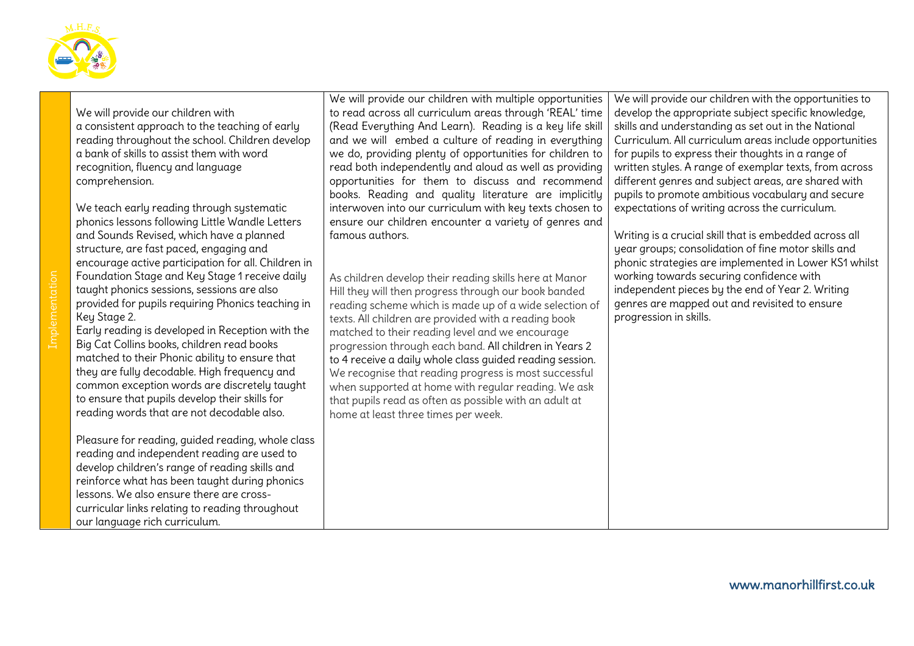

We will provide our children with a consistent approach to the teaching of early reading throughout the school. Children develop a bank of skills to assist them with word recognition, fluency and language comprehension.

We teach early reading through systematic phonics lessons following Little Wandle Letters and Sounds Revised, which have a planned structure, are fast paced, engaging and encourage active participation for all. Children in Foundation Stage and Key Stage 1 receive daily taught phonics sessions, sessions are also provided for pupils requiring Phonics teaching in Key Stage 2.

Early reading is developed in Reception with the Big Cat Collins books, children read books matched to their Phonic ability to ensure that they are fully decodable. High frequency and common exception words are discretely taught to ensure that pupils develop their skills for reading words that are not decodable also.

Pleasure for reading, guided reading, whole class reading and independent reading are used to develop children's range of reading skills and reinforce what has been taught during phonics lessons. We also ensure there are crosscurricular links relating to reading throughout our language rich curriculum.

We will provide our children with multiple opportunities to read across all curriculum areas through 'REAL' time (Read Everything And Learn). Reading is a key life skill and we will embed a culture of reading in everything we do, providing plenty of opportunities for children to read both independently and aloud as well as providing opportunities for them to discuss and recommend books. Reading and quality literature are implicitly interwoven into our curriculum with key texts chosen to ensure our children encounter a variety of genres and famous authors.

As children develop their reading skills here at Manor Hill they will then progress through our book banded reading scheme which is made up of a wide selection of texts. All children are provided with a reading book matched to their reading level and we encourage progression through each band. All children in Years 2 to 4 receive a daily whole class guided reading session. We recognise that reading progress is most successful when supported at home with regular reading. We ask that pupils read as often as possible with an adult at home at least three times per week.

We will provide our children with the opportunities to develop the appropriate subject specific knowledge, skills and understanding as set out in the National Curriculum. All curriculum areas include opportunities for pupils to express their thoughts in a range of written styles. A range of exemplar texts, from across different genres and subject areas, are shared with pupils to promote ambitious vocabulary and secure expectations of writing across the curriculum.

Writing is a crucial skill that is embedded across all year groups; consolidation of fine motor skills and phonic strategies are implemented in Lower KS1 whilst working towards securing confidence with independent pieces by the end of Year 2. Writing genres are mapped out and revisited to ensure progression in skills.